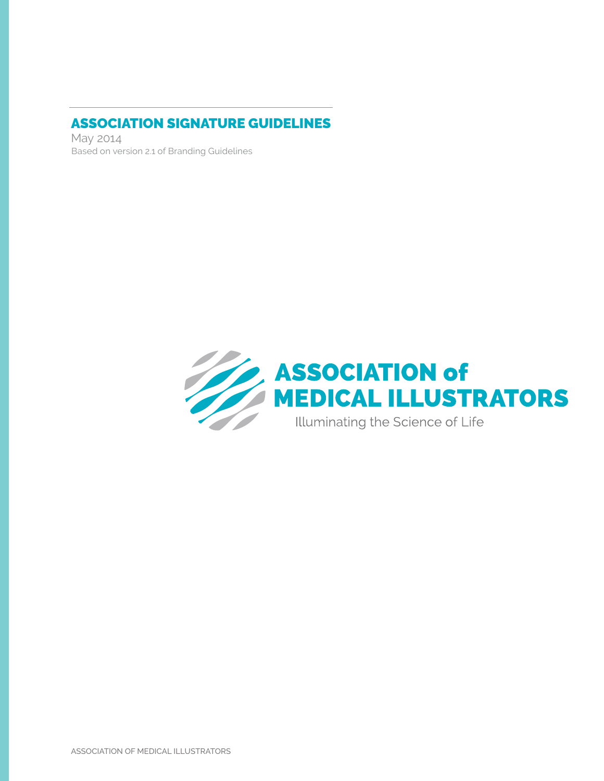### ASSOCIATION SIGNATURE GUIDELINES

May 2014 Based on version 2.1 of Branding Guidelines

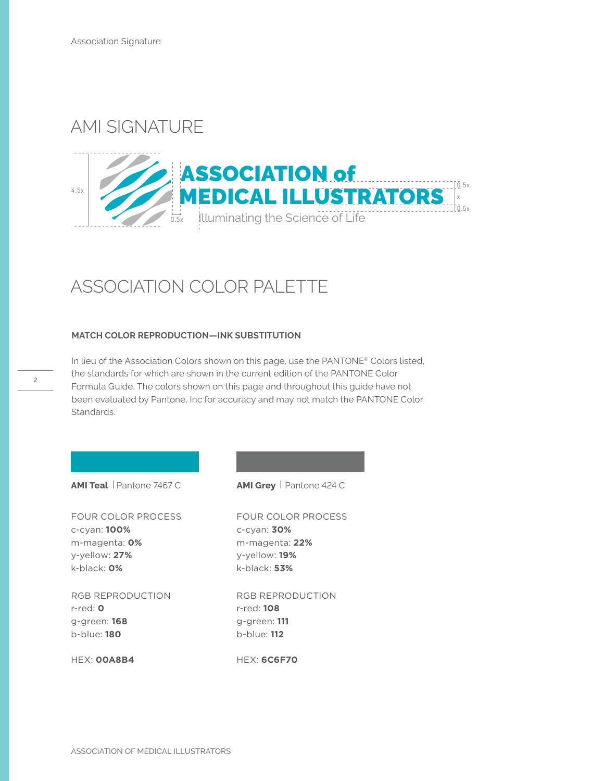# AMI SIGNATURE



# ASSOCIATION COLOR PALETTE

#### **MATCH COLOR REPRODUCTION—INK SUBSTITUTION**

In lieu of the Association Colors shown on this page, use the PANTONE® Colors listed, the standards for which are shown in the current edition of the PANTONE Color Formula Guide. The colors shown on this page and throughout this guide have not been evaluated by Pantone, Inc for accuracy and may not match the PANTONE Color Standards.

**AMI Teal** | Pantone 7467 C **AMI Grey** | Pantone 424 C

FOUR COLOR PROCESS c-cyan: **100%** m-magenta: **0%** y-yellow: **27%** k-black: **0%**

RGB REPRODUCTION r-red: **0** g-green: **168** b-blue: **180**

HEX: **00A8B4**

FOUR COLOR PROCESS c-cyan: **30%** m-magenta: **22%** y-yellow: **19%** k-black: **53%**

RGB REPRODUCTION r-red: **108** g-green: **111** b-blue: **112**

HEX: **6C6F70**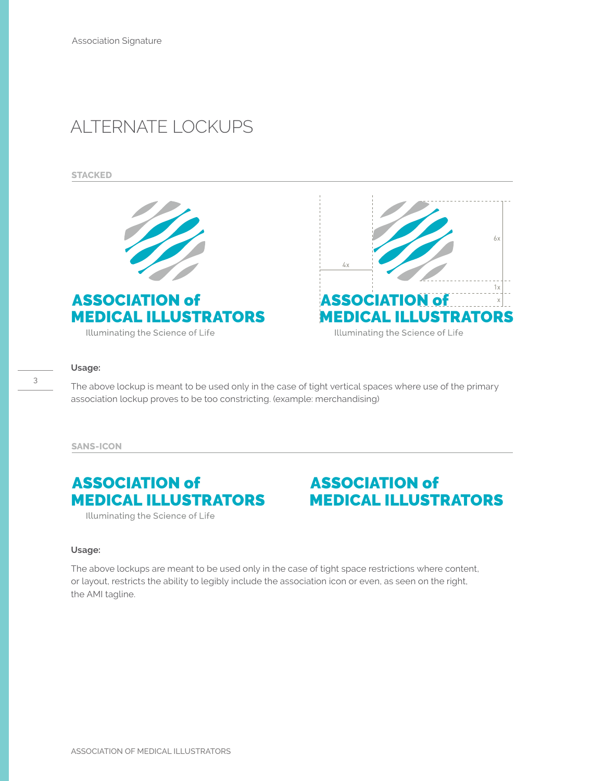# ALTERNATE LOCKUPS

**STACKED**



 ASSOCIATION of MEDICAL ILLUSTRATORS

Illuminating the Science of Life



#### **Usage:**

3

The above lockup is meant to be used only in the case of tight vertical spaces where use of the primary association lockup proves to be too constricting. (example: merchandising)

**SANS-ICON**

### ASSOCIATION of MEDICAL ILLUSTRATORS

### ASSOCIATION of MEDICAL ILLUSTRATORS

Illuminating the Science of Life

#### **Usage:**

The above lockups are meant to be used only in the case of tight space restrictions where content, or layout, restricts the ability to legibly include the association icon or even, as seen on the right, the AMI tagline.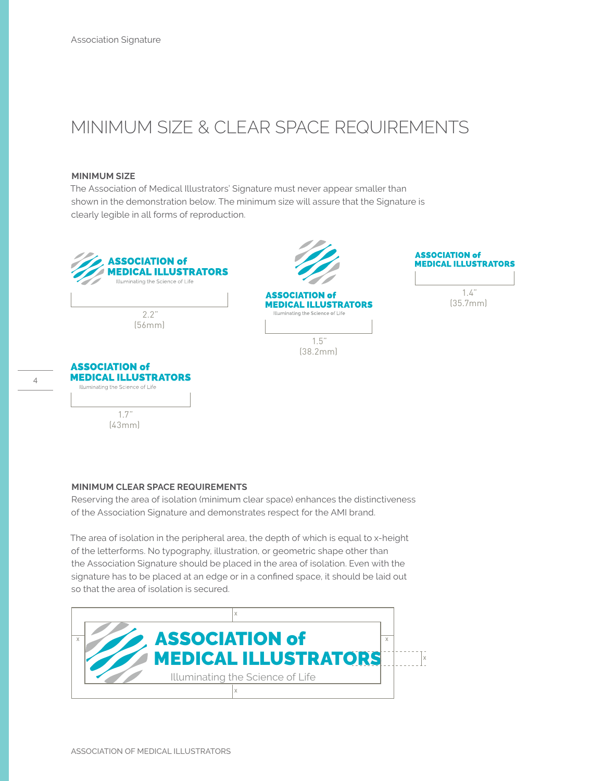# MINIMUM SIZE & CLEAR SPACE REQUIREMENTS

#### **MINIMUM SIZE**

The Association of Medical Illustrators' Signature must never appear smaller than shown in the demonstration below. The minimum size will assure that the Signature is clearly legible in all forms of reproduction.



### **MINIMUM CLEAR SPACE REQUIREMENTS**

Reserving the area of isolation (minimum clear space) enhances the distinctiveness of the Association Signature and demonstrates respect for the AMI brand.

The area of isolation in the peripheral area, the depth of which is equal to x-height of the letterforms. No typography, illustration, or geometric shape other than the Association Signature should be placed in the area of isolation. Even with the signature has to be placed at an edge or in a confined space, it should be laid out so that the area of isolation is secured.

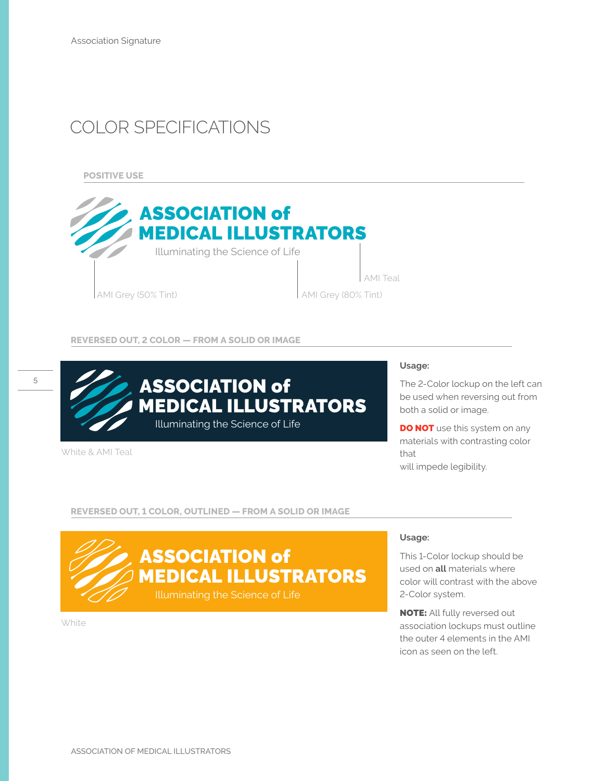# COLOR SPECIFICATIONS

**POSITIVE USE**



#### **REVERSED OUT, 2 COLOR — FROM A SOLID OR IMAGE**



White & AMI Teal

#### **Usage:**

The 2-Color lockup on the left can be used when reversing out from both a solid or image.

**DO NOT** use this system on any materials with contrasting color that will impede legibility.

#### **REVERSED OUT, 1 COLOR, OUTLINED — FROM A SOLID OR IMAGE**



**White** 

### **Usage:**

This 1-Color lockup should be used on **all** materials where color will contrast with the above 2-Color system.

NOTE: All fully reversed out association lockups must outline the outer 4 elements in the AMI icon as seen on the left.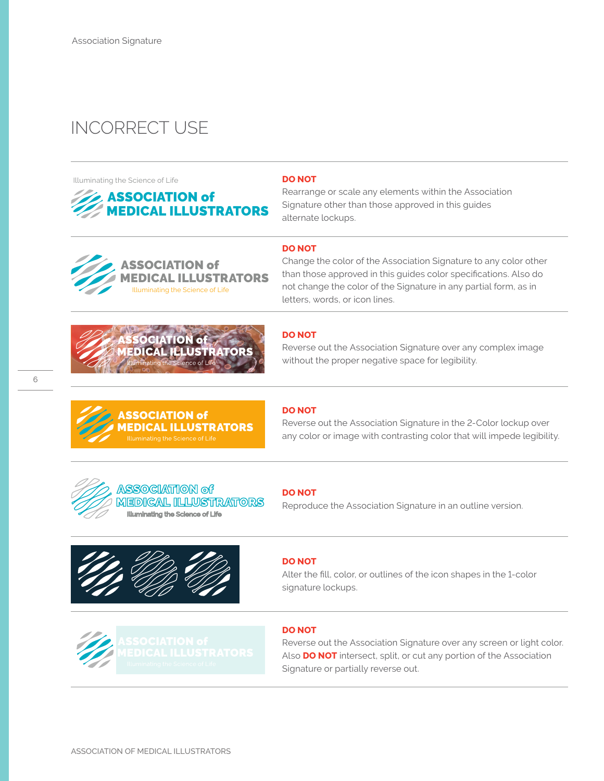# INCORRECT USE

Illuminating the Science of Life





Rearrange or scale any elements within the Association Signature other than those approved in this guides alternate lockups.



#### **DO NOT**

Change the color of the Association Signature to any color other than those approved in this guides color specifications. Also do not change the color of the Signature in any partial form, as in letters, words, or icon lines.



**SSOCIATION of** 

### **DO NOT**

Reverse out the Association Signature over any complex image without the proper negative space for legibility.



# **ASSOCIATION of**

MEDICAL ILLUSTRATORS Illuminating the Science of Life

**IEDICAL ILLUSTRATORS**<br>Illuminating the Science of Life

### **DO NOT**

Reverse out the Association Signature in the 2-Color lockup over any color or image with contrasting color that will impede legibility.

#### **DO NOT**

Reproduce the Association Signature in an outline version.





### **DO NOT**

Alter the fill, color, or outlines of the icon shapes in the 1-color signature lockups.

### **DO NOT**

Reverse out the Association Signature over any screen or light color. Also **DO NOT** intersect, split, or cut any portion of the Association Signature or partially reverse out.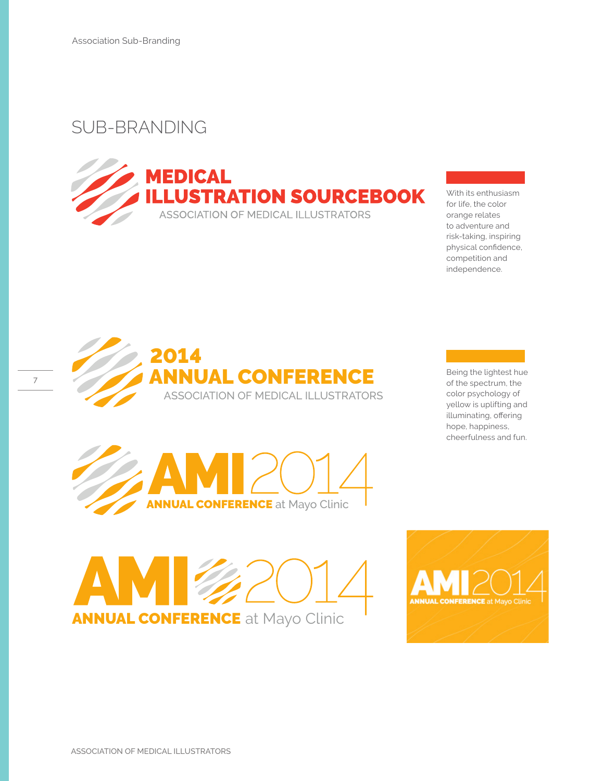# SUB-BRANDING



With its enthusiasm for life, the color orange relates to adventure and risk-taking, inspiring physical confidence, competition and independence.



Being the lightest hue of the spectrum, the color psychology of yellow is uplifting and illuminating, offering hope, happiness, cheerfulness and fun.





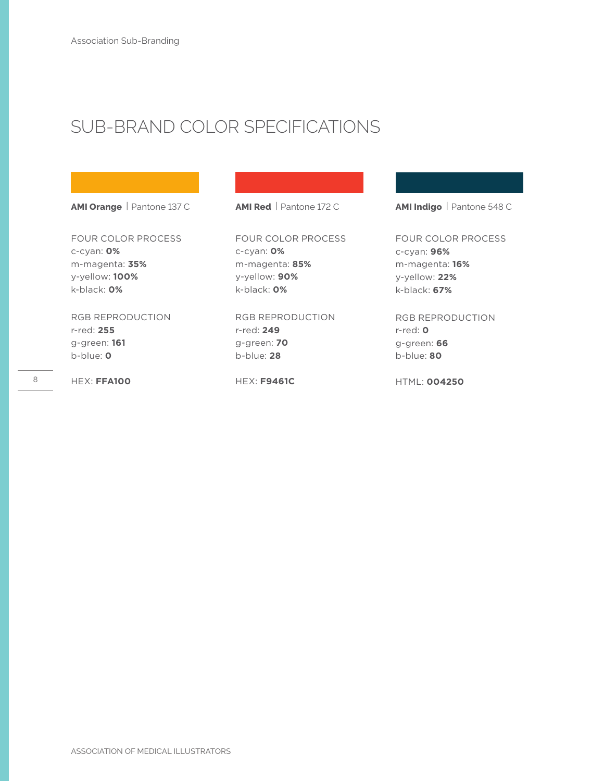# SUB-BRAND COLOR SPECIFICATIONS

**AMI Orange** | Pantone 137 C

FOUR COLOR PROCESS c-cyan: **0%** m-magenta: **35%** y-yellow: **100%** k-black: **0%**

RGB REPRODUCTION r-red: **255** g-green: **161** b-blue: **0**

HEX: **FFA100**

**AMI Red** | Pantone 172 C

FOUR COLOR PROCESS c-cyan: **0%** m-magenta: **85%** y-yellow: **90%** k-black: **0%**

RGB REPRODUCTION r-red: **249** g-green: **70** b-blue: **28**

HEX: **F9461C**

**AMI Indigo** | Pantone 548 C

FOUR COLOR PROCESS c-cyan: **96%** m-magenta: **16%** y-yellow: **22%** k-black: **67%**

RGB REPRODUCTION r-red: **0** g-green: **66** b-blue: **80**

HTML: **004250**

8